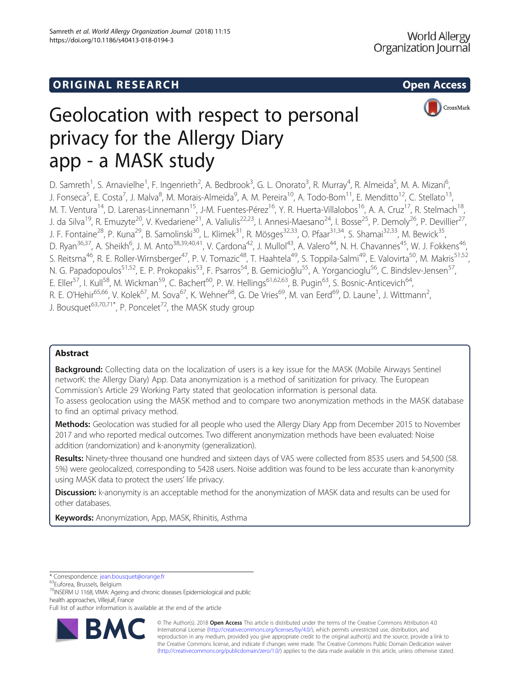

# Geolocation with respect to personal privacy for the Allergy Diary app - a MASK study

D. Samreth<sup>1</sup>, S. Arnavielhe<sup>1</sup>, F. Ingenrieth<sup>2</sup>, A. Bedbrook<sup>3</sup>, G. L. Onorato<sup>3</sup>, R. Murray<sup>4</sup>, R. Almeida<sup>5</sup>, M. A. Mizani<sup>6</sup> , J. Fonseca<sup>5</sup>, E. Costa<sup>7</sup>, J. Malva<sup>8</sup>, M. Morais-Almeida<sup>9</sup>, A. M. Pereira<sup>10</sup>, A. Todo-Bom<sup>11</sup>, E. Menditto<sup>12</sup>, C. Stellato<sup>13</sup>, M. T. Ventura<sup>14</sup>, D. Larenas-Linnemann<sup>15</sup>, J-M. Fuentes-Pérez<sup>16</sup>, Y. R. Huerta-Villalobos<sup>16</sup>, A. A. Cruz<sup>17</sup>, R. Stelmach<sup>18</sup> J. da Silva<sup>19</sup>, R. Emuzyte<sup>20</sup>, V. Kvedariene<sup>21</sup>, A. Valiulis<sup>22,23</sup>, I. Annesi-Maesano<sup>24</sup>, I. Bosse<sup>25</sup>, P. Demoly<sup>26</sup>, P. Devillier<sup>27</sup>, J. F. Fontaine<sup>28</sup>, P. Kuna<sup>29</sup>, B. Samolinski<sup>30</sup>, L. Klimek<sup>31</sup>, R. Mösges<sup>32,33</sup>, O. Pfaar<sup>31,34</sup>, S. Shamai<sup>32,33</sup>, M. Bewick<sup>35</sup>, D. Ryan<sup>36,37</sup>, A. Sheikh<sup>6</sup>, J. M. Anto<sup>38,39,40,41</sup>, V. Cardona<sup>42</sup>, J. Mullol<sup>43</sup>, A. Valero<sup>44</sup>, N. H. Chavannes<sup>45</sup>, W. J. Fokkens<sup>46</sup>, S. Reitsma<sup>46</sup>, R. E. Roller-Wirnsberger<sup>47</sup>, P. V. Tomazic<sup>48</sup>, T. Haahtela<sup>49</sup>, S. Toppila-Salmi<sup>49</sup>, E. Valovirta<sup>50</sup>, M. Makris<sup>51,52</sup>, N. G. Papadopoulos<sup>51,52</sup>, E. P. Prokopakis<sup>53</sup>, F. Psarros<sup>54</sup>, B. Gemicioğlu<sup>55</sup>, A. Yorgancioglu<sup>56</sup>, C. Bindslev-Jensen<sup>57</sup>, E. Eller<sup>57</sup>, I. Kull<sup>58</sup>, M. Wickman<sup>59</sup>, C. Bachert<sup>60</sup>, P. W. Hellings<sup>61,62,63</sup>, B. Pugin<sup>63</sup>, S. Bosnic-Anticevich<sup>64</sup>, R. E. O'Hehir<sup>65,66</sup>, V. Kolek<sup>67</sup>, M. Sova<sup>67</sup>, K. Wehner<sup>68</sup>, G. De Vries<sup>69</sup>, M. van Eerd<sup>69</sup>, D. Laune<sup>1</sup>, J. Wittmann<sup>2</sup> , J. Bousquet<sup>63,70,71\*</sup>, P. Poncelet<sup>72</sup>, the MASK study group

# Abstract

**Background:** Collecting data on the localization of users is a key issue for the MASK (Mobile Airways Sentinel networK: the Allergy Diary) App. Data anonymization is a method of sanitization for privacy. The European Commission's Article 29 Working Party stated that geolocation information is personal data.

To assess geolocation using the MASK method and to compare two anonymization methods in the MASK database to find an optimal privacy method.

Methods: Geolocation was studied for all people who used the Allergy Diary App from December 2015 to November 2017 and who reported medical outcomes. Two different anonymization methods have been evaluated: Noise addition (randomization) and k-anonymity (generalization).

Results: Ninety-three thousand one hundred and sixteen days of VAS were collected from 8535 users and 54,500 (58. 5%) were geolocalized, corresponding to 5428 users. Noise addition was found to be less accurate than k-anonymity using MASK data to protect the users' life privacy.

**Discussion:** k-anonymity is an acceptable method for the anonymization of MASK data and results can be used for other databases.

Keywords: Anonymization, App, MASK, Rhinitis, Asthma

\* Correspondence: jean.bousquet@orange.fr 63Euforea, Brussels, Belgium

70INSERM U 1168, VIMA: Ageing and chronic diseases Epidemiological and public health approaches, Villejuif, France

Full list of author information is available at the end of the article



© The Author(s). 2018 Open Access This article is distributed under the terms of the Creative Commons Attribution 4.0 International License (http://creativecommons.org/licenses/by/4.0/), which permits unrestricted use, distribution, and reproduction in any medium, provided you give appropriate credit to the original author(s) and the source, provide a link to the Creative Commons license, and indicate if changes were made. The Creative Commons Public Domain Dedication waiver (http://creativecommons.org/publicdomain/zero/1.0/) applies to the data made available in this article, unless otherwise stated.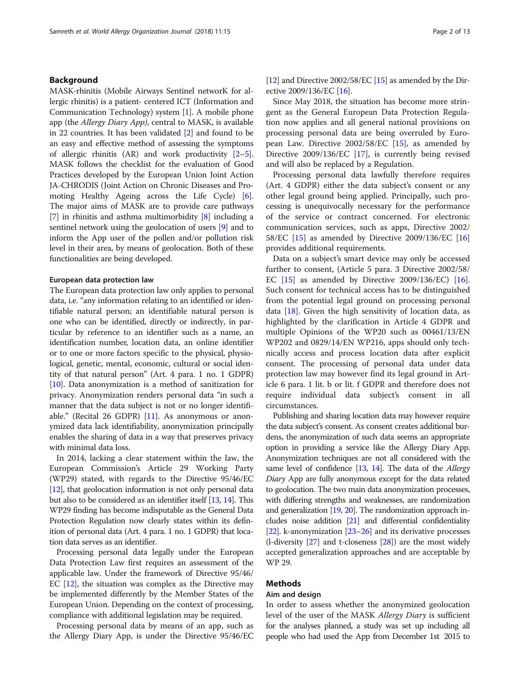# Background

MASK-rhinitis (Mobile Airways Sentinel networK for allergic rhinitis) is a patient- centered ICT (Information and Communication Technology) system [1]. A mobile phone app (the Allergy Diary App), central to MASK, is available in 22 countries. It has been validated [2] and found to be an easy and effective method of assessing the symptoms of allergic rhinitis  $(AR)$  and work productivity  $[2-5]$ . MASK follows the checklist for the evaluation of Good Practices developed by the European Union Joint Action JA-CHRODIS (Joint Action on Chronic Diseases and Promoting Healthy Ageing across the Life Cycle) [6]. The major aims of MASK are to provide care pathways [7] in rhinitis and asthma multimorbidity [8] including a sentinel network using the geolocation of users [9] and to inform the App user of the pollen and/or pollution risk level in their area, by means of geolocation. Both of these functionalities are being developed.

## European data protection law

The European data protection law only applies to personal data, i.e. "any information relating to an identified or identifiable natural person; an identifiable natural person is one who can be identified, directly or indirectly, in particular by reference to an identifier such as a name, an identification number, location data, an online identifier or to one or more factors specific to the physical, physiological, genetic, mental, economic, cultural or social identity of that natural person" (Art. 4 para. 1 no. 1 GDPR) [10]. Data anonymization is a method of sanitization for privacy. Anonymization renders personal data "in such a manner that the data subject is not or no longer identifiable." (Recital 26 GDPR)  $[11]$ . As anonymous or anonymized data lack identifiability, anonymization principally enables the sharing of data in a way that preserves privacy with minimal data loss.

In 2014, lacking a clear statement within the law, the European Commission's Article 29 Working Party (WP29) stated, with regards to the Directive 95/46/EC [12], that geolocation information is not only personal data but also to be considered as an identifier itself [13, 14]. This WP29 finding has become indisputable as the General Data Protection Regulation now clearly states within its definition of personal data (Art. 4 para. 1 no. 1 GDPR) that location data serves as an identifier.

Processing personal data legally under the European Data Protection Law first requires an assessment of the applicable law. Under the framework of Directive 95/46/ EC [12], the situation was complex as the Directive may be implemented differently by the Member States of the European Union. Depending on the context of processing, compliance with additional legislation may be required.

Processing personal data by means of an app, such as the Allergy Diary App, is under the Directive 95/46/EC [12] and Directive  $2002/58/EC$  [15] as amended by the Directive 2009/136/EC [16].

Since May 2018, the situation has become more stringent as the General European Data Protection Regulation now applies and all general national provisions on processing personal data are being overruled by European Law. Directive 2002/58/EC [15], as amended by Directive 2009/136/EC [17], is currently being revised and will also be replaced by a Regulation.

Processing personal data lawfully therefore requires (Art. 4 GDPR) either the data subject's consent or any other legal ground being applied. Principally, such processing is unequivocally necessary for the performance of the service or contract concerned. For electronic communication services, such as apps, Directive 2002/ 58/EC [15] as amended by Directive 2009/136/EC [16] provides additional requirements.

Data on a subject's smart device may only be accessed further to consent, (Article 5 para. 3 Directive 2002/58/ EC [15] as amended by Directive 2009/136/EC) [16]. Such consent for technical access has to be distinguished from the potential legal ground on processing personal data  $[18]$ . Given the high sensitivity of location data, as highlighted by the clarification in Article 4 GDPR and multiple Opinions of the WP20 such as 00461/13/EN WP202 and 0829/14/EN WP216, apps should only technically access and process location data after explicit consent. The processing of personal data under data protection law may however find its legal ground in Article 6 para. 1 lit. b or lit. f GDPR and therefore does not require individual data subject's consent in all circumstances.

Publishing and sharing location data may however require the data subject's consent. As consent creates additional burdens, the anonymization of such data seems an appropriate option in providing a service like the Allergy Diary App. Anonymization techniques are not all considered with the same level of confidence [13, 14]. The data of the Allergy Diary App are fully anonymous except for the data related to geolocation. The two main data anonymization processes, with differing strengths and weaknesses, are randomization and generalization [19, 20]. The randomization approach includes noise addition [21] and differential confidentiality [22]. k-anonymization  $[23-26]$  and its derivative processes (l-diversity [27] and t-closeness [28]) are the most widely accepted generalization approaches and are acceptable by WP 29.

## Methods

## Aim and design

In order to assess whether the anonymized geolocation level of the user of the MASK Allergy Diary is sufficient for the analyses planned, a study was set up including all people who had used the App from December 1st 2015 to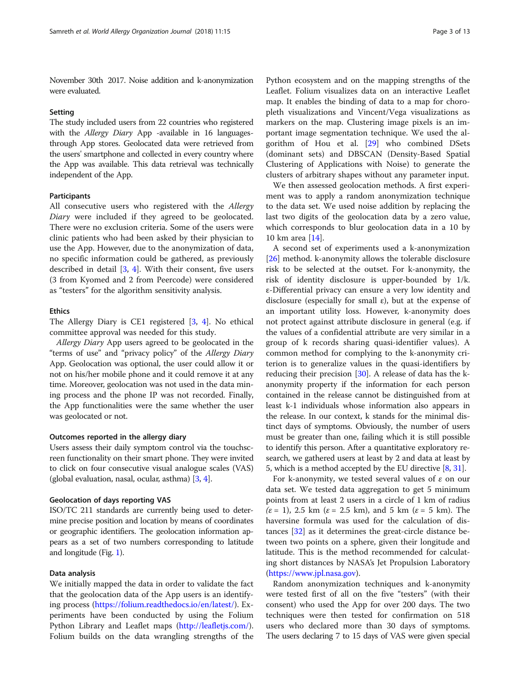November 30th 2017. Noise addition and k-anonymization were evaluated.

#### Setting

The study included users from 22 countries who registered with the *Allergy Diary* App -available in 16 languagesthrough App stores. Geolocated data were retrieved from the users' smartphone and collected in every country where the App was available. This data retrieval was technically independent of the App.

# Participants

All consecutive users who registered with the *Allergy* Diary were included if they agreed to be geolocated. There were no exclusion criteria. Some of the users were clinic patients who had been asked by their physician to use the App. However, due to the anonymization of data, no specific information could be gathered, as previously described in detail [3, 4]. With their consent, five users (3 from Kyomed and 2 from Peercode) were considered as "testers" for the algorithm sensitivity analysis.

### Ethics

The Allergy Diary is CE1 registered [3, 4]. No ethical committee approval was needed for this study.

Allergy Diary App users agreed to be geolocated in the "terms of use" and "privacy policy" of the Allergy Diary App. Geolocation was optional, the user could allow it or not on his/her mobile phone and it could remove it at any time. Moreover, geolocation was not used in the data mining process and the phone IP was not recorded. Finally, the App functionalities were the same whether the user was geolocated or not.

#### Outcomes reported in the allergy diary

Users assess their daily symptom control via the touchscreen functionality on their smart phone. They were invited to click on four consecutive visual analogue scales (VAS) (global evaluation, nasal, ocular, asthma) [3, 4].

# Geolocation of days reporting VAS

ISO/TC 211 standards are currently being used to determine precise position and location by means of coordinates or geographic identifiers. The geolocation information appears as a set of two numbers corresponding to latitude and longitude (Fig. 1).

## Data analysis

We initially mapped the data in order to validate the fact that the geolocation data of the App users is an identifying process (https://folium.readthedocs.io/en/latest/). Experiments have been conducted by using the Folium Python Library and Leaflet maps (http://leafletjs.com/). Folium builds on the data wrangling strengths of the

Python ecosystem and on the mapping strengths of the Leaflet. Folium visualizes data on an interactive Leaflet map. It enables the binding of data to a map for choropleth visualizations and Vincent/Vega visualizations as markers on the map. Clustering image pixels is an important image segmentation technique. We used the algorithm of Hou et al. [29] who combined DSets (dominant sets) and DBSCAN (Density-Based Spatial Clustering of Applications with Noise) to generate the clusters of arbitrary shapes without any parameter input.

We then assessed geolocation methods. A first experiment was to apply a random anonymization technique to the data set. We used noise addition by replacing the last two digits of the geolocation data by a zero value, which corresponds to blur geolocation data in a 10 by 10 km area [14].

A second set of experiments used a k-anonymization [26] method. k-anonymity allows the tolerable disclosure risk to be selected at the outset. For k-anonymity, the risk of identity disclosure is upper-bounded by 1/k. ε-Differential privacy can ensure a very low identity and disclosure (especially for small  $\varepsilon$ ), but at the expense of an important utility loss. However, k-anonymity does not protect against attribute disclosure in general (e.g. if the values of a confidential attribute are very similar in a group of k records sharing quasi-identifier values). A common method for complying to the k-anonymity criterion is to generalize values in the quasi-identifiers by reducing their precision [30]. A release of data has the kanonymity property if the information for each person contained in the release cannot be distinguished from at least k-1 individuals whose information also appears in the release. In our context, k stands for the minimal distinct days of symptoms. Obviously, the number of users must be greater than one, failing which it is still possible to identify this person. After a quantitative exploratory research, we gathered users at least by 2 and data at least by 5, which is a method accepted by the EU directive [8, 31].

For k-anonymity, we tested several values of  $\varepsilon$  on our data set. We tested data aggregation to get 5 minimum points from at least 2 users in a circle of 1 km of radius  $(\varepsilon = 1)$ , 2.5 km  $(\varepsilon = 2.5$  km), and 5 km  $(\varepsilon = 5$  km). The haversine formula was used for the calculation of distances [32] as it determines the great-circle distance between two points on a sphere, given their longitude and latitude. This is the method recommended for calculating short distances by NASA's Jet Propulsion Laboratory (https://www.jpl.nasa.gov).

Random anonymization techniques and k-anonymity were tested first of all on the five "testers" (with their consent) who used the App for over 200 days. The two techniques were then tested for confirmation on 518 users who declared more than 30 days of symptoms. The users declaring 7 to 15 days of VAS were given special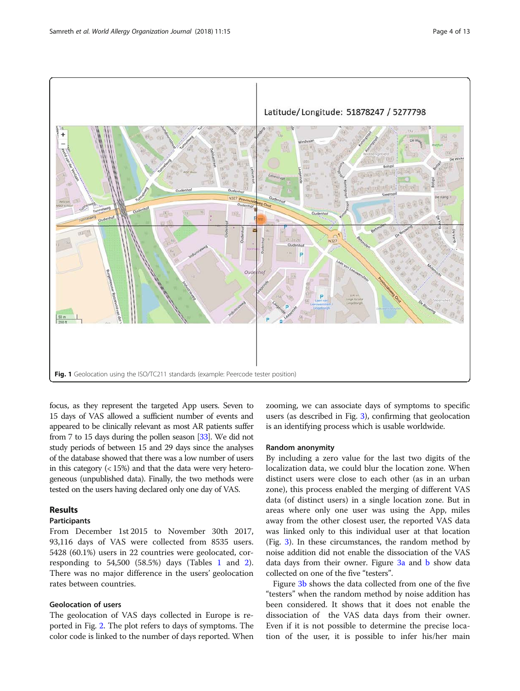

focus, as they represent the targeted App users. Seven to 15 days of VAS allowed a sufficient number of events and appeared to be clinically relevant as most AR patients suffer from 7 to 15 days during the pollen season [33]. We did not study periods of between 15 and 29 days since the analyses of the database showed that there was a low number of users in this category  $\left($  < 15%) and that the data were very heterogeneous (unpublished data). Finally, the two methods were tested on the users having declared only one day of VAS.

# Results

### Participants

From December 1st 2015 to November 30th 2017, 93,116 days of VAS were collected from 8535 users. 5428 (60.1%) users in 22 countries were geolocated, corresponding to  $54,500$  (58.5%) days (Tables 1 and 2). There was no major difference in the users' geolocation rates between countries.

# Geolocation of users

The geolocation of VAS days collected in Europe is reported in Fig. 2. The plot refers to days of symptoms. The color code is linked to the number of days reported. When zooming, we can associate days of symptoms to specific users (as described in Fig. 3), confirming that geolocation is an identifying process which is usable worldwide.

## Random anonymity

By including a zero value for the last two digits of the localization data, we could blur the location zone. When distinct users were close to each other (as in an urban zone), this process enabled the merging of different VAS data (of distinct users) in a single location zone. But in areas where only one user was using the App, miles away from the other closest user, the reported VAS data was linked only to this individual user at that location (Fig. 3). In these circumstances, the random method by noise addition did not enable the dissociation of the VAS data days from their owner. Figure 3a and b show data collected on one of the five "testers".

Figure 3b shows the data collected from one of the five "testers" when the random method by noise addition has been considered. It shows that it does not enable the dissociation of the VAS data days from their owner. Even if it is not possible to determine the precise location of the user, it is possible to infer his/her main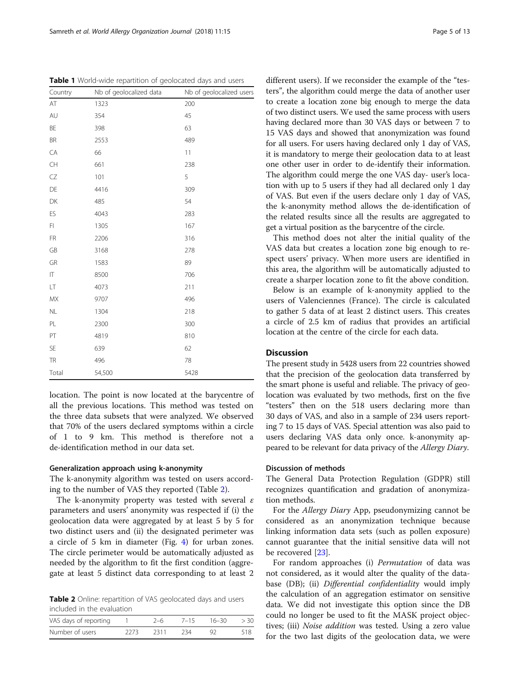location. The point is now located at the barycentre of all the previous locations. This method was tested on the three data subsets that were analyzed. We observed that 70% of the users declared symptoms within a circle of 1 to 9 km. This method is therefore not a de-identification method in our data set.

# Generalization approach using k-anonymity

The k-anonymity algorithm was tested on users according to the number of VAS they reported (Table 2).

The k-anonymity property was tested with several  $\varepsilon$ parameters and users' anonymity was respected if (i) the geolocation data were aggregated by at least 5 by 5 for two distinct users and (ii) the designated perimeter was a circle of 5 km in diameter (Fig. 4) for urban zones. The circle perimeter would be automatically adjusted as needed by the algorithm to fit the first condition (aggregate at least 5 distinct data corresponding to at least 2

Table 2 Online: repartition of VAS geolocated days and users included in the evaluation

| VAS days of reporting |      | 2–6   | $7 - 15$ | $16 - 30$ | > 30 |
|-----------------------|------|-------|----------|-----------|------|
| Number of users       | 2273 | -2311 | 234      |           | 518  |

different users). If we reconsider the example of the "testers", the algorithm could merge the data of another user to create a location zone big enough to merge the data of two distinct users. We used the same process with users having declared more than 30 VAS days or between 7 to 15 VAS days and showed that anonymization was found for all users. For users having declared only 1 day of VAS, it is mandatory to merge their geolocation data to at least one other user in order to de-identify their information. The algorithm could merge the one VAS day- user's location with up to 5 users if they had all declared only 1 day of VAS. But even if the users declare only 1 day of VAS, the k-anonymity method allows the de-identification of the related results since all the results are aggregated to get a virtual position as the barycentre of the circle.

This method does not alter the initial quality of the VAS data but creates a location zone big enough to respect users' privacy. When more users are identified in this area, the algorithm will be automatically adjusted to create a sharper location zone to fit the above condition.

Below is an example of k-anonymity applied to the users of Valenciennes (France). The circle is calculated to gather 5 data of at least 2 distinct users. This creates a circle of 2.5 km of radius that provides an artificial location at the centre of the circle for each data.

## **Discussion**

The present study in 5428 users from 22 countries showed that the precision of the geolocation data transferred by the smart phone is useful and reliable. The privacy of geolocation was evaluated by two methods, first on the five "testers" then on the 518 users declaring more than 30 days of VAS, and also in a sample of 234 users reporting 7 to 15 days of VAS. Special attention was also paid to users declaring VAS data only once. k-anonymity appeared to be relevant for data privacy of the Allergy Diary.

# Discussion of methods

The General Data Protection Regulation (GDPR) still recognizes quantification and gradation of anonymization methods.

For the Allergy Diary App, pseudonymizing cannot be considered as an anonymization technique because linking information data sets (such as pollen exposure) cannot guarantee that the initial sensitive data will not be recovered [23].

For random approaches (i) Permutation of data was not considered, as it would alter the quality of the database (DB); (ii) Differential confidentiality would imply the calculation of an aggregation estimator on sensitive data. We did not investigate this option since the DB could no longer be used to fit the MASK project objectives; (iii) *Noise addition* was tested. Using a zero value for the two last digits of the geolocation data, we were

Table 1 World-wide repartition of geolocated days and users

| Country        | Nb of geolocalized data | Nb of geolocalized users |
|----------------|-------------------------|--------------------------|
| AT             | 1323                    | 200                      |
| AU             | 354                     | 45                       |
| BE             | 398                     | 63                       |
| BR             | 2553                    | 489                      |
| CA             | 66                      | 11                       |
| CH             | 661                     | 238                      |
| CZ             | 101                     | 5                        |
| DE             | 4416                    | 309                      |
| DK             | 485                     | 54                       |
| ES             | 4043                    | 283                      |
| F1             | 1305                    | 167                      |
| FR             | 2206                    | 316                      |
| GB             | 3168                    | 278                      |
| GR             | 1583                    | 89                       |
| $ \mathsf{T} $ | 8500                    | 706                      |
| LT             | 4073                    | 211                      |
| <b>MX</b>      | 9707                    | 496                      |
| NL             | 1304                    | 218                      |
| PL             | 2300                    | 300                      |
| PT             | 4819                    | 810                      |
| SE             | 639                     | 62                       |
| <b>TR</b>      | 496                     | 78                       |
| Total          | 54,500                  | 5428                     |
|                |                         |                          |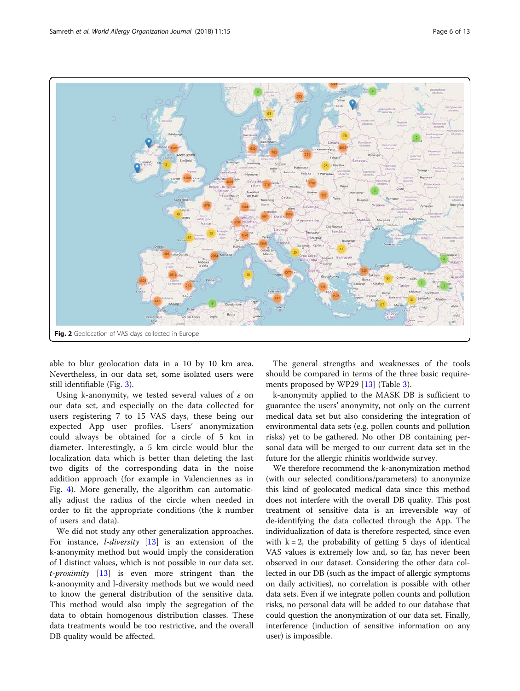

able to blur geolocation data in a 10 by 10 km area. Nevertheless, in our data set, some isolated users were still identifiable (Fig. 3).

Using k-anonymity, we tested several values of  $\varepsilon$  on our data set, and especially on the data collected for users registering 7 to 15 VAS days, these being our expected App user profiles. Users' anonymization could always be obtained for a circle of 5 km in diameter. Interestingly, a 5 km circle would blur the localization data which is better than deleting the last two digits of the corresponding data in the noise addition approach (for example in Valenciennes as in Fig. 4). More generally, the algorithm can automatically adjust the radius of the circle when needed in order to fit the appropriate conditions (the k number of users and data).

We did not study any other generalization approaches. For instance, *l-diversity*  $[13]$  is an extension of the k-anonymity method but would imply the consideration of l distinct values, which is not possible in our data set.  $t$ -proximity  $[13]$  is even more stringent than the k-anonymity and l-diversity methods but we would need to know the general distribution of the sensitive data. This method would also imply the segregation of the data to obtain homogenous distribution classes. These data treatments would be too restrictive, and the overall DB quality would be affected.

The general strengths and weaknesses of the tools should be compared in terms of the three basic requirements proposed by WP29 [13] (Table 3).

k-anonymity applied to the MASK DB is sufficient to guarantee the users' anonymity, not only on the current medical data set but also considering the integration of environmental data sets (e.g. pollen counts and pollution risks) yet to be gathered. No other DB containing personal data will be merged to our current data set in the future for the allergic rhinitis worldwide survey.

We therefore recommend the k-anonymization method (with our selected conditions/parameters) to anonymize this kind of geolocated medical data since this method does not interfere with the overall DB quality. This post treatment of sensitive data is an irreversible way of de-identifying the data collected through the App. The individualization of data is therefore respected, since even with  $k = 2$ , the probability of getting 5 days of identical VAS values is extremely low and, so far, has never been observed in our dataset. Considering the other data collected in our DB (such as the impact of allergic symptoms on daily activities), no correlation is possible with other data sets. Even if we integrate pollen counts and pollution risks, no personal data will be added to our database that could question the anonymization of our data set. Finally, interference (induction of sensitive information on any user) is impossible.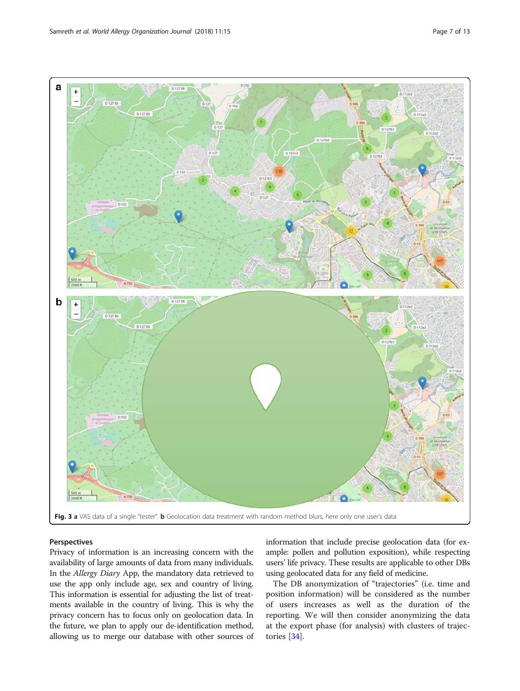

## Perspectives

Privacy of information is an increasing concern with the availability of large amounts of data from many individuals. In the Allergy Diary App, the mandatory data retrieved to use the app only include age, sex and country of living. This information is essential for adjusting the list of treatments available in the country of living. This is why the privacy concern has to focus only on geolocation data. In the future, we plan to apply our de-identification method, allowing us to merge our database with other sources of information that include precise geolocation data (for example: pollen and pollution exposition), while respecting users' life privacy. These results are applicable to other DBs using geolocated data for any field of medicine.

The DB anonymization of "trajectories" (i.e. time and position information) will be considered as the number of users increases as well as the duration of the reporting. We will then consider anonymizing the data at the export phase (for analysis) with clusters of trajectories [34].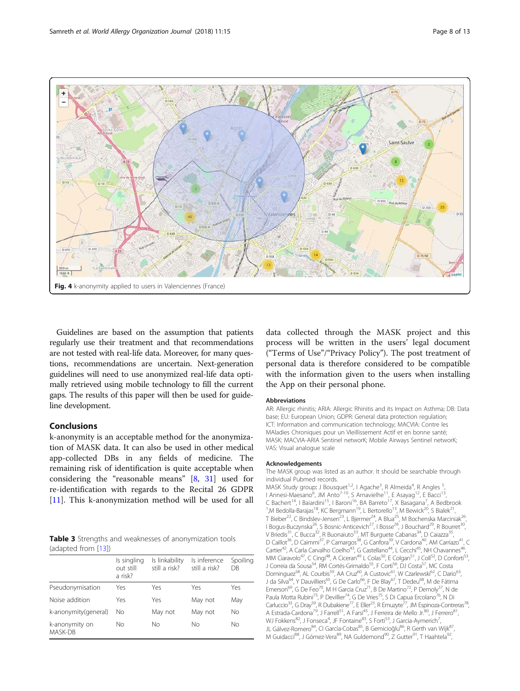

Guidelines are based on the assumption that patients regularly use their treatment and that recommendations are not tested with real-life data. Moreover, for many questions, recommendations are uncertain. Next-generation guidelines will need to use anonymized real-life data optimally retrieved using mobile technology to fill the current gaps. The results of this paper will then be used for guideline development.

# Conclusions

k-anonymity is an acceptable method for the anonymization of MASK data. It can also be used in other medical app-collected DBs in any fields of medicine. The remaining risk of identification is quite acceptable when considering the "reasonable means" [8, 31] used for re-identification with regards to the Recital 26 GDPR [11]. This k-anonymization method will be used for all

Table 3 Strengths and weaknesses of anonymization tools (adapted from [13])

|                           | Is singling<br>out still<br>a risk? | Is linkability<br>still a risk? | Is inference<br>still a risk? | Spoiling<br>DB |
|---------------------------|-------------------------------------|---------------------------------|-------------------------------|----------------|
| Pseudonymisation          | Yes                                 | Yes                             | Yes                           | Yes            |
| Noise addition            | Yes                                 | Yes                             | May not                       | May            |
| k-anonymity(general)      | No                                  | May not                         | May not                       | Νo             |
| k-anonymity on<br>MASK-DB | Nο                                  | Nο                              | Nο                            | Nο             |

data collected through the MASK project and this process will be written in the users' legal document ("Terms of Use"/"Privacy Policy"). The post treatment of personal data is therefore considered to be compatible with the information given to the users when installing the App on their personal phone.

#### Abbreviations

AR: Allergic rhinitis; ARIA: Allergic Rhinitis and its Impact on Asthma; DB: Data base; EU: European Union; GDPR: General data protection regulation; ICT: Information and communication technology; MACVIA: Contre les MAladies Chroniques pour un VIeillissement Actif et en bonne santé; MASK: MACVIA-ARIA Sentinel networK; Mobile Airways Sentinel networK; VAS: Visual analogue scale

#### Acknowledgements

The MASK group was listed as an author. It should be searchable through individual Pubmed records.

MASK Study group: J Bousquet<sup>1,2</sup>, I Agache<sup>3</sup>, R Almeida<sup>4</sup>, R Angles <sup>5</sup> I Annesi-Maesano<sup>6</sup>, JM Anto<sup>7-10</sup>, S Arnavielhe<sup>11</sup>, E Asayag<sup>12</sup>, E Bacci<sup>13</sup>, C Bachert<sup>14</sup>, I Baiardini<sup>15</sup>, I Baroni<sup>16</sup>, BA Barreto<sup>17</sup>, X Basagana<sup>7</sup>, A Bedbrook<br><sup>1</sup> M Bodolla Baraias<sup>18</sup> KC Bargmann<sup>19</sup> J Bortorollo<sup>13</sup> M Bowick<sup>20</sup> S Bialok<sup>21</sup> <sup>1</sup>,M Bedolla-Barajas<sup>18</sup>, KC Bergmann<sup>19</sup>, L Bertorello<sup>13</sup>, M Bewick<sup>20</sup>, S Bialek<sup>21</sup> T Bieber<sup>22</sup>, C Bindslev-Jensen<sup>23</sup>, L Bjermer<sup>24</sup>, A Blua<sup>25</sup>, M Bochenska Marciniak<sup>26</sup> I Bogus-Buczynska<sup>26</sup>, S Bosnic-Anticevich<sup>27</sup>, I Bosse<sup>28</sup>, J Bouchard<sup>29</sup>, R Bourret<sup>30</sup>, V Briedis<sup>31</sup>, C Bucca<sup>32</sup>, R Buonaiuto<sup>33</sup>, MT Burguete Cabanas<sup>34</sup>, D Caiazza<sup>35</sup> D Caillot<sup>36</sup>, D Caimmi<sup>37</sup>, P Camargos<sup>38</sup>, G Canfora<sup>39</sup>, V Cardona<sup>40</sup>, AM Carriazo<sup>41</sup>, C Cartier<sup>42</sup>, A Carla Carvalho Coelho<sup>43</sup>, G Castellano<sup>44</sup>, L Cecchi<sup>45</sup>, NH Chavannes<sup>46</sup>, MM Ciaravolo<sup>47</sup>, C Cingi<sup>48</sup>, A Ciceran<sup>49</sup> L Colas<sup>50</sup>, E Colgan<sup>51</sup>, J Coll<sup>52</sup>, D Conforti<sup>53</sup> J Correia da Sousa<sup>54</sup>, RM Cortés-Grimaldo<sup>55</sup>, F Corti<sup>56</sup>, DJ Costa<sup>57</sup>, MC Costa Dominguez<sup>58</sup>, AL Courbis<sup>59</sup>, AA Cruz<sup>60</sup>, A Custovic<sup>61</sup>, W Czarlewski<sup>62</sup>, C Dario<sup>63</sup>, J da Silva<sup>64</sup>, Y Dauvilliers<sup>65</sup>, G De Carlo<sup>66</sup>, F De Blay<sup>67</sup>, T Dedeu<sup>68</sup>, M de Fátima Emerson<sup>69</sup>, G De Feo<sup>70</sup>, M H Garcia Cruz<sup>71</sup>, B De Martino<sup>72</sup>, P Demoly<sup>37</sup>, N de Paula Motta Rubini<sup>73</sup>, P Devillier<sup>74</sup>, G De Vries<sup>75</sup>, S Di Capua Ercolano<sup>76</sup>, N Di Carluccio<sup>33</sup>, G Dray<sup>59</sup>, R Dubakiene<sup>77</sup>, E Eller<sup>23</sup>, R Emuzyte<sup>77</sup>, JM Espinoza-Contreras<sup>78</sup> A Estrada-Cardona<sup>79</sup>, J Farrell<sup>51</sup>, A Farsi<sup>45</sup>, J Ferreira de Mello Jr.<sup>80</sup>, J Ferrero<sup>81</sup> WJ Fokkens<sup>82</sup>, J Fonseca<sup>4</sup>, JF Fontaine<sup>83</sup>, S Forti<sup>53</sup>, J Garcia-Aymerich<sup>7</sup> , JL Gálvez-Romero<sup>84</sup>, CI García-Cobas<sup>85</sup>, B Gemicioğlu<sup>86</sup>, R Gerth van Wijk<sup>87</sup>, M Guidacci<sup>88</sup>, J Gómez-Vera<sup>89</sup>, NA Guldemond<sup>90</sup>, Z Gutter<sup>91</sup>, T Haahtela<sup>92</sup>,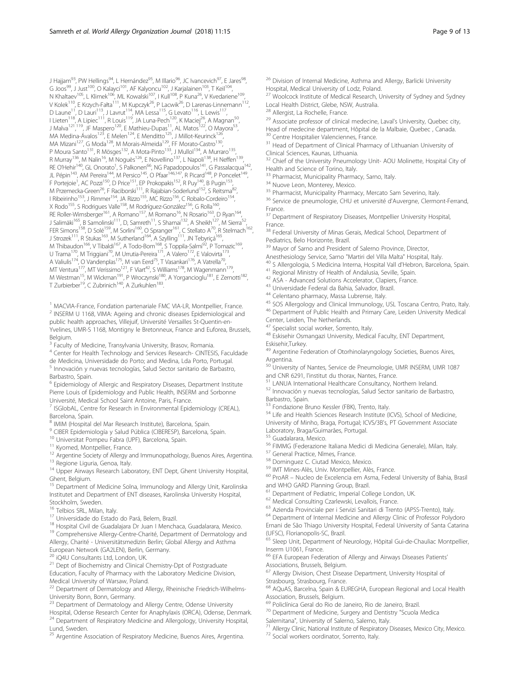J Hajjam<sup>93</sup>, PW Hellings<sup>94</sup>, L Hernández<sup>95</sup>, M Illario<sup>96</sup>, JC Ivancevich<sup>97</sup>, E Jares<sup>98</sup>, G Joos<sup>99</sup>, J Just<sup>100</sup>, O Kalayci<sup>101</sup>, AF Kalyoncu<sup>102</sup>, J Karjalainen<sup>103</sup>, T Keil<sup>104</sup>, N Khaltaev<sup>105</sup>, L Klimek<sup>106</sup>, ML Kowalski<sup>107</sup>, I Kull<sup>108</sup>, P Kuna<sup>26</sup>, V Kvedariene<sup>109</sup>, V Kolek<sup>110</sup>, E Krzych-Fałta<sup>111</sup>, M Kupczyk<sup>26</sup>, P Lacwik<sup>26</sup>, D Larenas-Linnemann<sup>112</sup>, D Laune<sup>11</sup>, D Lauri<sup>113</sup>, J Lavrut<sup>114</sup>, MA Lessa<sup>115</sup>, G Levato<sup>116</sup>, L Lewis<sup>117</sup>, I Lieten<sup>118</sup>, A Lipiec<sup>111</sup>, R Louis<sup>119</sup>, JA Luna-Pech<sup>120</sup>, K Maciej<sup>26</sup>, A Magnan<sup>50</sup>, J Malva<sup>121,119</sup>, JF Maspero<sup>120</sup>, E Mathieu-Dupas<sup>11</sup>, AL Matos<sup>122</sup>, O Mayora<sup>53</sup>, MA Medina-Ávalos<sup>123</sup>, E Melen<sup>124</sup>, E Menditto<sup>125</sup>, J Millot-Keurinck<sup>126</sup>, MA Mizani<sup>127</sup>, G Moda<sup>128</sup>, M Morais-Almeida<sup>129</sup>, FF Morato-Castro<sup>130</sup>, P Moura Santo<sup>131</sup>, R Mösges<sup>132</sup>, A Mota-Pinto<sup>133</sup>, J Mullol<sup>134</sup>, A Murraro<sup>135</sup>, R Murray<sup>136</sup>, M Nalin<sup>16</sup>, M Noguès<sup>126</sup>, E Novellino<sup>137</sup>, L Napoli<sup>138</sup>, H Neffen<sup>139</sup>, RE O'Hehir<sup>140</sup>, GL Onorato<sup>1</sup>, S Palkonen<sup>66</sup>, NG Papadopoulos<sup>141</sup>, G Passalacqua<sup>142</sup>, JL Pépin<sup>143</sup>, AM Pereira<sup>144</sup>, M Persico<sup>145</sup>, O Pfaar<sup>146,147</sup>, R Picard<sup>148</sup>, P Poncelet<sup>149</sup>, F Portejoie<sup>1</sup>, AC Pozzi<sup>150</sup>, D Price<sup>151</sup>, EP Prokopakis<sup>152</sup>, R Puy<sup>140</sup>, B Pugin<sup>153</sup>, M Przemecka-Green<sup>26</sup>, F Raciborski<sup>111</sup>, R Rajabian-Soderlund<sup>152</sup>, S Reitsma<sup>82</sup>, I Ribeirinho<sup>153</sup>, J Rimmer<sup>154</sup>, JA Rizzo<sup>155</sup>, MC Rizzo<sup>156</sup>, C Robalo-Cordeiro<sup>154</sup> X Rodo<sup>155</sup>, S Rodrígues Valle<sup>158</sup>, M Rodríguez-González<sup>156</sup>, G Rolla<sup>160</sup> RE Roller-Wirnsberger<sup>161</sup>, A Romano<sup>157</sup>, M Romano<sup>16</sup>, N Rosario<sup>163</sup>, D Ryan<sup>164</sup>, J Salimäki<sup>165</sup>, B Samolinski<sup>111</sup>, D, Samreth<sup>11</sup>, S Shamai<sup>132</sup>, A Sheikh<sup>127</sup>, M Sierra<sup>52</sup>, FER Simons<sup>158</sup>, D Solé<sup>159</sup>, M Sorlini<sup>160</sup>, O Spranger<sup>161</sup>, C Stellato A<sup>70</sup>, R Stelmach<sup>162</sup>, J Strozek<sup>111</sup>, R Stukas<sup>163</sup>, M Sutherland<sup>164</sup>, A Szylling<sup>111</sup>, JN Tebyriçá<sup>165</sup>, M Thibaudon<sup>166</sup>, V Tibaldi<sup>167</sup>, A Todo-Bom<sup>168</sup>, S Toppila-Salmi<sup>92</sup>, P Tomazic<sup>169</sup>, U Trama<sup>170</sup>, M Triggiani<sup>70</sup>, M Urrutia-Pereira<sup>171</sup>, A Valero<sup>172</sup>, E Valovirta<sup>173</sup>, A Valiulis<sup>174</sup>, O Vandenplas<sup>175</sup>, M van Eerd<sup>75</sup>, T Vasankari<sup>176</sup>, A Vatrella<sup>70</sup>, MT Ventura<sup>177</sup>, MT Verissimo<sup>121</sup>, F Viart<sup>42</sup>, S Williams<sup>178</sup>, M Wagenmann<sup>179</sup>, M Westman<sup>15</sup>, M Wickman<sup>191</sup>, P Wroczynski<sup>180</sup>, A Yorgancioglu<sup>181</sup>, E Zernotti<sup>182</sup>, T Zurbierber<sup>19</sup>, C Zubrinich<sup>140</sup>, A Zurkuhlen<sup>183</sup>.

<sup>1</sup> MACVIA-France, Fondation partenariale FMC VIA-LR, Montpellier, France. <sup>2</sup> INSERM U 1168, VIMA: Ageing and chronic diseases Epidemiological and public health approaches, Villejuif, Université Versailles St-Quentin-en-Yvelines, UMR-S 1168, Montigny le Bretonneux, France and Euforea, Brussels, Belgium.

<sup>3</sup> Faculty of Medicine, Transylvania University, Brasov, Romania.

<sup>4</sup> Center for Health Technology and Services Research- CINTESIS, Faculdade de Medicina, Universidade do Porto; and Medina, Lda Porto, Portugal.

Innovación y nuevas tecnologías, Salud Sector sanitario de Barbastro, Barbastro, Spain.

<sup>6</sup> Epidemiology of Allergic and Respiratory Diseases, Department Institute Pierre Louis of Epidemiology and Public Health, INSERM and Sorbonne Université, Medical School Saint Antoine, Paris, France.

<sup>7</sup> ISGlobAL, Centre for Research in Environmental Epidemiology (CREAL), Barcelona, Spain.

<sup>8</sup> IMIM (Hospital del Mar Research Institute), Barcelona, Spain.

<sup>9</sup> CIBER Epidemiología y Salud Pública (CIBERESP), Barcelona, Spain.<br><sup>10</sup> Universitat Pompeu Fabra (UPF), Barcelona, Spain.

<sup>11</sup> Kyomed, Montpellier, France.<br><sup>12</sup> Argentine Society of Allergy and Immunopathology, Buenos Aires, Argentina.<br><sup>13</sup> Regione Liguria, Genoa, Italy.<br><sup>14</sup> Upper Airways Research Laboratory, ENT Dept, Ghent University Hosp Ghent, Belgium.

<sup>15</sup> Department of Medicine Solna, Immunology and Allergy Unit, Karolinska Institutet and Department of ENT diseases, Karolinska University Hospital, Stockholm, Sweden.<br><sup>16</sup> Telbios SRL, Milan, Italy.

17 Universidade do Estado do Pará, Belem, Brazil.<br><sup>18</sup> Hospital Civil de Guadalajara Dr Juan I Menchaca, Guadalarara, Mexico. 18<br><sup>19</sup> Comprehensive Allergy-Centre-Charité, Department of Dermatology and

Allergy, Charité - Universitätsmedizin Berlin; Global Allergy and Asthma

European Network (GA2LEN), Berlin, Germany.<br><sup>20</sup> iQ4U Consultants Ltd, London, UK.

 $21$  Dept of Biochemistry and Clinical Chemistry-Dpt of Postgraduate Education, Faculty of Pharmacy with the Laboratory Medicine Division, Medical University of Warsaw, Poland.

<sup>22</sup> Department of Dermatology and Allergy, Rheinische Friedrich-Wilhelms-University Bonn, Bonn, Germany.

Department of Dermatology and Allergy Centre, Odense University

Hospital, Odense Research Center for Anaphylaxis (ORCA), Odense, Denmark. <sup>24</sup> Department of Respiratory Medicine and Allergology, University Hospital, Lund, Sweden.

Argentine Association of Respiratory Medicine, Buenos Aires, Argentina.

<sup>27</sup> Woolcock Institute of Medical Research, University of Sydney and Sydney Local Health District, Glebe, NSW, Australia.

<sup>28</sup> Allergist, La Rochelle, France.

<sup>29</sup> Associate professor of clinical medecine, Laval's University, Quebec city, Head of medecine department, Hôpital de la Malbaie, Quebec , Canada.

Centre Hospitalier Valenciennes, France.

<sup>31</sup> Head of Department of Clinical Pharmacy of Lithuanian University of Clinical Sciences, Kaunas, Lithuania.

<sup>32</sup> Chief of the University Pneumology Unit- AOU Molinette, Hospital City of Health and Science of Torino, Italy.

<sup>33</sup> Pharmacist, Municipality Pharmacy, Sarno, Italy.<br><sup>34</sup> Nuove Leon, Monterey, Mexico.

<sup>35</sup> Pharmacist, Municipality Pharmacy, Mercato Sam Severino, Italy.

<sup>36</sup> Service de pneumologie, CHU et université d'Auvergne, Clermont-Ferrand, France.

Department of Respiratory Diseases, Montpellier University Hospital, France.

<sup>38</sup> Federal University of Minas Gerais, Medical School, Department of Pediatrics, Belo Horizonte, Brazil.

<sup>39</sup> Mayor of Sarno and President of Salerno Province, Director,

Anesthesiology Service, Sarno "Martiri del Villa Malta" Hospital, Italy.

<sup>40</sup> S Allergologia, S Medicina Interna, Hospital Vall d'Hebron, Barcelona, Spain.<br><sup>41</sup> Regional Ministry of Health of Andalusia, Seville, Spain.<br><sup>42</sup> ASA - Advanced Solutions Accelerator, Clapiers, France.<br><sup>43</sup> Universid

<sup>46</sup> Department of Public Health and Primary Care, Leiden University Medical

Center, Leiden, The Netherlands.

<sup>47</sup> Specialist social worker, Sorrento, Italy.<br><sup>48</sup> Eskisehir Osmangazi University, Medical Faculty, ENT Department, Eskisehir,Turkey.

Argentine Federation of Otorhinolaryngology Societies, Buenos Aires, **Argentina** 

<sup>50</sup> University of Nantes, Service de Pneumologie, UMR INSERM, UMR 1087 and CNR 6291, l'institut du thorax, Nantes, France.

<sup>51</sup> LANUA International Healthcare Consultancy, Northern Ireland.<br><sup>52</sup> Innovación y nuevas tecnologías, Salud Sector sanitario de Barbastro, Barbastro, Spain.

<sup>53</sup> Fondazione Bruno Kessler (FBK), Trento, Italy.<br><sup>54</sup> Life and Health Sciences Research Institute (ICVS), School of Medicine, University of Minho, Braga, Portugal; ICVS/3B's, PT Government Associate Laboratory, Braga/Guimarães, Portugal.<br><sup>55</sup> Guadalarara, Mexico.

<sup>56</sup> FIMMG (Federazione Italiana Medici di Medicina Generale), Milan, Italy.<br><sup>57</sup> General Practice, Nîmes, France.<br><sup>58</sup> Dominguez C. Ciutad Mexico, Mexico.<br><sup>59</sup> IMT Mines-Alès, Univ. Montpellier, Alès, France.<br><sup>60</sup> ProAR – and WHO GARD Planning Group, Brazil.<br><sup>61</sup> Department of Pediatric, Imperial College London, UK.

62 Department of Department of Pedical Consulting Czarlewski, Levallois, France.<br>63 Azienda Provinciale per i Servizi Sanitari di Trento (APSS-Trento), Italy.

<sup>64</sup> Department of Internal Medicine and Allergy Clinic of Professor Polydoro Ernani de São Thiago University Hospital, Federal University of Santa Catarina (UFSC), Florianopolis-SC, Brazil.

<sup>65</sup> Sleep Unit, Department of Neurology, Hôpital Gui-de-Chauliac Montpellier, Inserm U1061, France.

<sup>66</sup> EFA European Federation of Allergy and Airways Diseases Patients' Associations, Brussels, Belgium.

Allergy Division, Chest Disease Department, University Hospital of Strasbourg, Strasbourg, France.

<sup>68</sup> AQuAS, Barcelna, Spain & EUREGHA, European Regional and Local Health Association, Brussels, Belgium.

<sup>69</sup> Policlínica Geral do Rio de Janeiro, Rio de Janeiro, Brazil.<br><sup>70</sup> Department of Medicine, Surgery and Dentistry "Scuola Medica

Salernitana", University of Salerno, Salerno, Italy.

<sup>71</sup> Allergy Clinic, National Institute of Respiratory Diseases, Mexico City, Mexico.  $^{72}$  Social workers oordinator, Sorrento, Italy.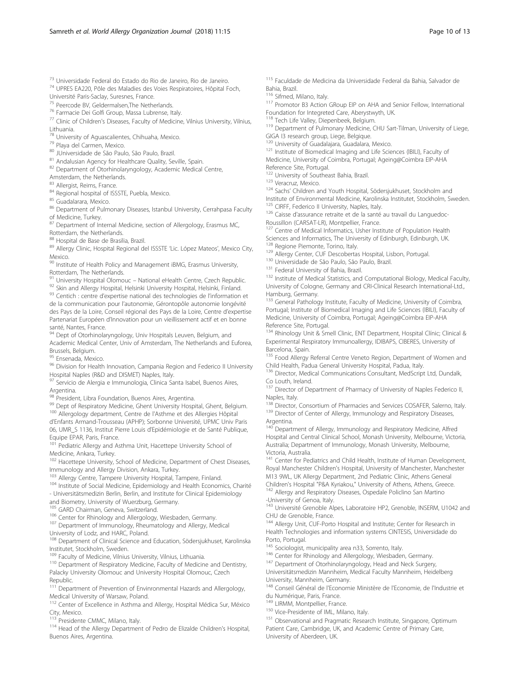Université Paris-Saclay, Suresnes, France.<br><sup>75</sup> Peercode BV, Geldermalsen, The Netherlands.

<sup>76</sup> Farmacie Dei Golfi Group, Massa Lubrense, Italy.

<sup>77</sup> Clinic of Children's Diseases, Faculty of Medicine, Vilnius University, Vilnius, Lithuania.

 $^{78}$  University of Aguascalientes, Chihuaha, Mexico.<br> $^{79}$  Playa del Carmen, Mexico.

<sup>80</sup> JUniversidade de São Paulo, São Paulo, Brazil.<br><sup>81</sup> Andalusian Agency for Healthcare Quality, Seville, Spain.

82 Department of Otorhinolaryngology, Academic Medical Centre,

Amsterdam, the Netherlands.<br><sup>83</sup> Allergist, Reims, France.

84 Regional hospital of ISSSTE, Puebla, Mexico.<br>85 Guadalarara, Mexico.

86 Department of Pulmonary Diseases, Istanbul University, Cerrahpasa Faculty of Medicine, Turkey.

87 Department of Internal Medicine, section of Allergology, Erasmus MC,

Rotterdam, the Netherlands.<br><sup>88</sup> Hospital de Base de Brasilia, Brazil.

89 Allergy Clinic, Hospital Regional del ISSSTE 'Lic. López Mateos', Mexico City, Mexico.

90 Institute of Health Policy and Management iBMG, Erasmus University,

Rotterdam, The Netherlands.<br><sup>91</sup> University Hospital Olomouc – National eHealth Centre, Czech Republic.

<sup>92</sup> Skin and Allergy Hospital, Helsinki University Hospital, Helsinki, Finland.<br><sup>93</sup> Centich : centre d'expertise national des technologies de l'information et de la communication pour l'autonomie, Gérontopôle autonomie longévité des Pays de la Loire, Conseil régional des Pays de la Loire, Centre d'expertise Partenariat Européen d'Innovation pour un vieillissement actif et en bonne santé, Nantes, France.

94 Dept of Otorhinolaryngology, Univ Hospitals Leuven, Belgium, and Academic Medical Center, Univ of Amsterdam, The Netherlands and Euforea,

Brussels, Belgium.<br><sup>95</sup> Ensenada, Mexico.

96 Division for Health Innovation, Campania Region and Federico II University Hospital Naples (R&D and DISMET) Naples, Italy.

97 Servicio de Alergia e Immunologia, Clinica Santa Isabel, Buenos Aires, Argentina.<br><sup>98</sup> President, Libra Foundation, Buenos Aires, Argentina.

<sup>99</sup> Dept of Respiratory Medicine, Ghent University Hospital, Ghent, Belgium.<br><sup>100</sup> Allergology department, Centre de l'Asthme et des Allergies Hôpital d'Enfants Armand-Trousseau (APHP); Sorbonne Université, UPMC Univ Paris

06, UMR\_S 1136, Institut Pierre Louis d'Epidémiologie et de Santé Publique, Equipe EPAR, Paris, France.

<sup>101</sup> Pediatric Allergy and Asthma Unit, Hacettepe University School of Medicine, Ankara, Turkey.

102 Hacettepe University, School of Medicine, Department of Chest Diseases, Immunology and Allergy Division, Ankara, Turkey.<br><sup>103</sup> Allergy Centre, Tampere University Hospital, Tampere, Finland.

104 Institute of Social Medicine, Epidemiology and Health Economics, Charité - Universitätsmedizin Berlin, Berlin, and Institute for Clinical Epidemiology

and Biometry, University of Wuerzburg, Germany.<br><sup>105</sup> GARD Chairman, Geneva, Switzerland.

<sup>106</sup> Center for Rhinology and Allergology, Wiesbaden, Germany.<br><sup>107</sup> Department of Immunology, Rheumatology and Allergy, Medical

University of Lodz, and HARC, Poland.

<sup>108</sup> Department of Clinical Science and Education, Södersjukhuset, Karolinska Institutet, Stockholm, Sweden.

<sup>109</sup> Faculty of Medicine, Vilnius University, Vilnius, Lithuania.<br><sup>110</sup> Department of Respiratory Medicine, Faculty of Medicine and Dentistry, Palacky University Olomouc and University Hospital Olomouc, Czech Republic.

<sup>111</sup> Department of Prevention of Envinronmental Hazards and Allergology, Medical University of Warsaw, Poland.

<sup>112</sup> Center of Excellence in Asthma and Allergy, Hospital Médica Sur, México City, Mexico.<br><sup>113</sup> Presidente CMMC, Milano, Italy.

<sup>114</sup> Head of the Allergy Department of Pedro de Elizalde Children's Hospital, Buenos Aires, Argentina.

<sup>115</sup> Faculdade de Medicina da Universidade Federal da Bahia, Salvador de Bahia, Brazil.<br><sup>116</sup> Sifmed, Milano, Italy.

117 Promotor B3 Action GRoup EIP on AHA and Senior Fellow, International Foundation for Integreted Care, Aberystwyth, UK.<br><sup>118</sup> Tech Life Valley, Diepenbeek, Belgium.

119 Department of Pulmonary Medicine, CHU Sart-Tilman, University of Liege,

GIGA I3 research group, Liege, Belgique.<br><sup>120</sup> University of Guadalajara, Guadalara, Mexico.

<sup>121</sup> Institute of Biomedical Imaging and Life Sciences (IBILI), Faculty of Medicine, University of Coimbra, Portugal; Ageing@Coimbra EIP-AHA

Reference Site, Portugal.<br><sup>122</sup> University of Southeast Bahia, Brazil.

<sup>123</sup> Veracruz, Mexico.<br><sup>124</sup> Sachs' Children and Youth Hospital, Södersjukhuset, Stockholm and

Institute of Environmental Medicine, Karolinska Institutet, Stockholm, Sweden.<br><sup>125</sup> CIRFF, Federico II University, Naples, Italy.

126 Caisse d'assurance retraite et de la santé au travail du Languedoc-Roussillon (CARSAT-LR), Montpellier, France.

<sup>127</sup> Centre of Medical Informatics, Usher Institute of Population Health Sciences and Informatics, The University of Edinburgh, Edinburgh, UK.<br><sup>128</sup> Regione Piemonte, Torino, Italy.

<sup>129</sup> Allergy Center, CUF Descobertas Hospital, Lisbon, Portugal. <sup>130</sup> Universidade de São Paulo, São Paulo, Brazil.

<sup>131</sup> Federal University of Bahia, Brazil.

<sup>132</sup> Institute of Medical Statistics, and Computational Biology, Medical Faculty, University of Cologne, Germany and CRI-Clinical Research International-Ltd., Hamburg, Germany.

<sup>133</sup> General Pathology Institute, Faculty of Medicine, University of Coimbra, Portugal; Institute of Biomedical Imaging and Life Sciences (IBILI), Faculty of Medicine, University of Coimbra, Portugal; Ageing@Coimbra EIP-AHA Reference Site, Portugal.

134 Rhinology Unit & Smell Clinic, ENT Department, Hospital Clínic; Clinical & Experimental Respiratory Immunoallergy, IDIBAPS, CIBERES, University of Barcelona, Spain.

<sup>135</sup> Food Allergy Referral Centre Veneto Region, Department of Women and Child Health, Padua General University Hospital, Padua, Italy.

<sup>136</sup> Director, Medical Communications Consultant, MedScript Ltd, Dundalk, Co Louth, Ireland.

<sup>137</sup> Director of Department of Pharmacy of University of Naples Federico II, Naples, Italy.

<sup>138</sup> Director, Consortium of Pharmacies and Services COSAFER, Salerno, Italy.<br><sup>139</sup> Director of Center of Allergy, Immunology and Respiratory Diseases,

Argentina.

Department of Allergy, Immunology and Respiratory Medicine, Alfred Hospital and Central Clinical School, Monash University, Melbourne, Victoria, Australia; Department of Immunology, Monash University, Melbourne,

Victoria, Australia. <sup>141</sup> Center for Pediatrics and Child Health, Institute of Human Development, Royal Manchester Children's Hospital, University of Manchester, Manchester M13 9WL, UK Allergy Department, 2nd Pediatric Clinic, Athens General Children's Hospital "P&A Kyriakou," University of Athens, Athens, Greece. 142 Allergy and Respiratory Diseases, Ospedale Policlino San Martino

-University of Genoa, Italy.

<sup>143</sup> Université Grenoble Alpes, Laboratoire HP2, Grenoble, INSERM, U1042 and CHU de Grenoble, France.

144 Allergy Unit, CUF-Porto Hospital and Institute; Center for Research in Health Technologies and information systems CINTESIS, Universidade do Porto, Portugal.<br><sup>145</sup> Sociologist, municipality area n33, Sorrento, Italy.

146 Center for Rhinology and Allergology, Wiesbaden, Germany.

<sup>147</sup> Department of Otorhinolaryngology, Head and Neck Surgery, Universitätsmedizin Mannheim, Medical Faculty Mannheim, Heidelberg

University, Mannheim, Germany. <sup>148</sup> Conseil Général de l'Economie Ministère de l'Economie, de l'Industrie et

du Numérique, Paris, France. <sup>149</sup> LIRMM, Montpellier, France.

150 Vice-Presidente of IML, Milano, Italy.

<sup>151</sup> Observational and Pragmatic Research Institute, Singapore, Optimum Patient Care, Cambridge, UK, and Academic Centre of Primary Care, University of Aberdeen, UK.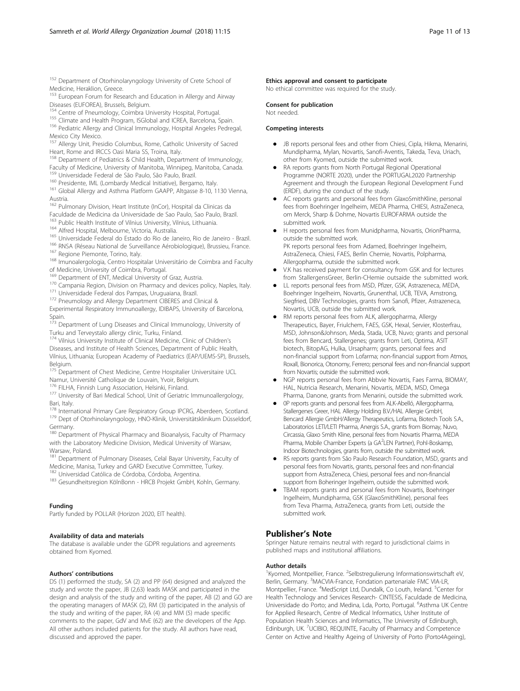<sup>152</sup> Department of Otorhinolaryngology University of Crete School of Medicine, Heraklion, Greece.

- <sup>153</sup> European Forum for Research and Education in Allergy and Airway Diseases (EUFOREA), Brussels, Belgium.
- 
- 

<sup>154</sup> Centre of Pneumology, Coimbra University Hospital, Portugal.<br><sup>155</sup> Climate and Health Program, ISGlobal and ICREA, Barcelona, Spain.<br><sup>156</sup> Pediatric Allergy and Clinical Immunology, Hospital Angeles Pedregal, Mexico City Mexico.

<sup>157</sup> Allergy Unit, Presidio Columbus, Rome, Catholic University of Sacred Heart, Rome and IRCCS Oasi Maria SS, Troina, Italy.

- <sup>158</sup> Department of Pediatrics & Child Health, Department of Immunology, Faculty of Medicine, University of Manitoba, Winnipeg, Manitoba, Canada.<br><sup>159</sup> Universidade Federal de São Paulo, São Paulo, Brazil.
- 
- 
- <sup>160</sup> Presidente, IML (Lombardy Medical Initiative), Bergamo, Italy.<br><sup>161</sup> Global Allergy and Asthma Platform GAAPP, Altgasse 8-10, 1130 Vienna, Austria.
- <sup>162</sup> Pulmonary Division, Heart Institute (InCor), Hospital da Clinicas da
- Faculdade de Medicina da Universidade de Sao Paulo, Sao Paulo, Brazil.
- 
- 
- 
- <sup>163</sup> Public Health Institute of Vilnius University, Vilnius, Lithuania.<br><sup>164</sup> Alfred Hospital, Melbourne, Victoria, Australia.<br><sup>165</sup> Universidade Federal do Estado do Rio de Janeiro, Rio de Janeiro Brazil.<br><sup>166</sup> RNSA (R
- 
- 
- of Medicine, University of Coimbra, Portugal.<br><sup>169</sup> Department of ENT, Medical University of Graz, Austria.
- $^{170}$  Campania Region, Division on Pharmacy and devices policy, Naples, Italy.<br> $^{171}$  Universidade Federal dos Pampas, Uruguaiana, Brazil.<br> $^{171}$  Pneumology and Allergy Department CIBERES and Clinical &
- 
- 

Experimental Respiratory Immunoallergy, IDIBAPS, University of Barcelona, Spain.

<sup>173</sup> Department of Lung Diseases and Clinical Immunology, University of Turku and Terveystalo allergy clinic, Turku, Finland.

174 Vilnius University Institute of Clinical Medicine, Clinic of Children's Diseases, and Institute of Health Sciences, Department of Public Health, Vilnius, Lithuania; European Academy of Paediatrics (EAP/UEMS-SP), Brussels, Belgium.

175 Department of Chest Medicine, Centre Hospitalier Universitaire UCL

- Namur, Université Catholique de Louvain, Yvoir, Belgium.<br><sup>176</sup> FILHA, Finnish Lung Association, Helsinki, Finland.
- 

177 University of Bari Medical School, Unit of Geriatric Immunoallergology, Bari, Italy.<br><sup>178</sup> International Primary Care Respiratory Group IPCRG, Aberdeen, Scotland.

<sup>179</sup> Dept of Otorhinolaryngology, HNO-Klinik, Universitätsklinikum Düsseldorf, Germany.

180 Department of Physical Pharmacy and Bioanalysis, Faculty of Pharmacy with the Laboratory Medicine Division, Medical University of Warsaw, Warsaw, Poland.

<sup>181</sup> Department of Pulmonary Diseases, Celal Bayar University, Faculty of Medicine, Manisa, Turkey and GARD Executive Committee, Turkey.<br><sup>182</sup> Universidad Católica de Córdoba, Córdoba, Argentina.

- 
- <sup>183</sup> Gesundheitsregion KölnBonn HRCB Projekt GmbH, Kohln, Germany.

#### Funding

Partly funded by POLLAR (Horizon 2020, EIT health).

#### Availability of data and materials

The database is available under the GDPR regulations and agreements obtained from Kyomed.

#### Authors' contributions

DS (1) performed the study, SA (2) and PP (64) designed and analyzed the study and wrote the paper, JB (2,63) leads MASK and participated in the design and analysis of the study and writing of the paper, AB (2) and GO are the operating managers of MASK (2), RM (3) participated in the analysis of the study and writing of the paper, RA (4) and MM (5) made specific comments to the paper, GdV and MvE (62) are the developers of the App. All other authors included patients for the study. All authors have read, discussed and approved the paper.

#### Ethics approval and consent to participate

No ethical committee was required for the study.

#### Consent for publication

Not needed.

#### Competing interests

- JB reports personal fees and other from Chiesi, Cipla, Hikma, Menarini, Mundipharma, Mylan, Novartis, Sanofi-Aventis, Takeda, Teva, Uriach, other from Kyomed, outside the submitted work.
- - RA reports grants from North Portugal Regional Operational Programme (NORTE 2020), under the PORTUGAL2020 Partnership Agreement and through the European Regional Development Fund (ERDF), during the conduct of the study.
- - AC reports grants and personal fees from GlaxoSmithKline, personal fees from Boehringer Ingelheim, MEDA Pharma, CHIESI, AstraZeneca, om Merck, Sharp & Dohme, Novartis EUROFARMA outside the submitted work.
- - H reports personal fees from Munidpharma, Novartis, OrionPharma, outside the submitted work. PK reports personal fees from Adamed, Boehringer Ingelheim, AstraZeneca, Chiesi, FAES, Berlin Chemie, Novartis, Polpharma, Allergopharma, outside the submitted work.
- - V.K has received payment for consultancy from GSK and for lectures from StallergensGreer, Berlin-CHemie outsaide the submitted work.
- - LL reports personal fees from MSD, Pfizer, GSK, Astrazeneca, MEDA, Boehringer Ingelheim, Novartis, Grunenthal, UCB, TEVA, Amstrong, Siegfried, DBV Technologies, grants from Sanofi, Pfizer, Astrazeneca, Novartis, UCB, outside the submitted work.
- - RM reports personal fees from ALK, allergopharma, Allergy Therapeutics, Bayer, Friulchem, FAES, GSK, Hexal, Servier, Klosterfrau, MSD, Johnson&Johnson, Meda, Stada, UCB, Nuvo; grants and personal fees from Bencard, Stallergenes; grants from Leti, Optima, ASIT biotech, BitopAG, Hulka, Ursapharm; grants, personal fees and non-financial support from Lofarma; non-financial support from Atmos, Roxall, Bionorica, Otonomy, Ferrero; personal fees and non-financial support from Novartis; outside the submitted work.
- NGP reports personal fees from Abbvie Novartis, Faes Farma, BIOMAY, HAL, Nutricia Research, Menarini, Novartis, MEDA, MSD, Omega Pharma, Danone, grants from Menarini, outside the submitted work.
- - 0P reports grants and personal fees from ALK-Abelló, Allergopharma, Stallergenes Greer, HAL Allergy Holding B.V./HAL Allergie GmbH, Bencard Allergie GmbH/Allergy Therapeutics, Lofarma, Biotech Tools S.A., Laboratorios LETI/LETI Pharma, Anergis S.A., grants from Biomay, Nuvo, Circassia, Glaxo Smith Kline, personal fees from Novartis Pharma, MEDA Pharma, Mobile Chamber Experts (a GA<sup>2</sup>LEN Partner), Pohl-Boskamp, Indoor Biotechnologies, grants from, outside the submitted work.
- - RS reports grants from São Paulo Research Foundation, MSD, grants and personal fees from Novartis, grants, personal fees and non-financial support from AstraZeneca, Chiesi, personal fees and non-financial support from Boheringer Ingelheim, outside the submitted work.
- - TBAM reports grants and personal fees from Novartis, Boehringer Ingelheim, Mundipharma, GSK (GlaxoSmithKline), personal fees from Teva Pharma, AstraZeneca, grants from Leti, outside the submitted work.

# Publisher's Note

Springer Nature remains neutral with regard to jurisdictional claims in published maps and institutional affiliations.

#### Author details

<sup>1</sup> Kyomed, Montpellier, France. <sup>2</sup> Selbstregulierung Informationswirtschaft eV, Berlin, Germany. <sup>3</sup>MACVIA-France, Fondation partenariale FMC VIA-LR Montpellier, France. <sup>4</sup>MedScript Ltd, Dundalk, Co Louth, Ireland. <sup>5</sup>Center for Health Technology and Services Research- CINTESIS, Faculdade de Medicina, Universidade do Porto; and Medina, Lda, Porto, Portugal. <sup>6</sup>Asthma UK Centre for Applied Research, Centre of Medical Informatics, Usher Institute of Population Health Sciences and Informatics, The University of Edinburgh, Edinburgh, UK. <sup>7</sup>UCIBIO, REQUINTE, Faculty of Pharmacy and Competence Center on Active and Healthy Ageing of University of Porto (Porto4Ageing),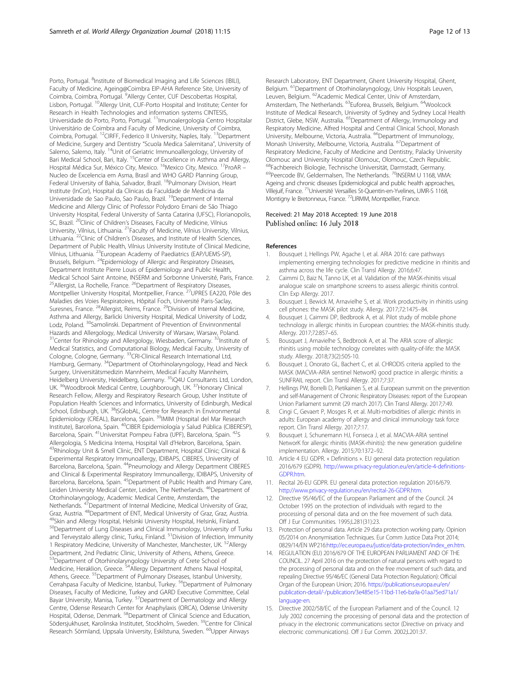Porto, Portugal. <sup>8</sup>Institute of Biomedical Imaging and Life Sciences (IBILI), Faculty of Medicine, Ageing@Coimbra EIP-AHA Reference Site, University of Coimbra, Coimbra, Portugal. <sup>9</sup>Allergy Center, CUF Descobertas Hospital, Lisbon, Portugal. <sup>10</sup>Allergy Unit, CUF-Porto Hospital and Institute; Center for Research in Health Technologies and information systems CINTESIS, Universidade do Porto, Porto, Portugal. 11Imunoalergologia Centro Hospitalar Universitário de Coimbra and Faculty of Medicine, University of Coimbra, Coimbra, Portugal. 12CIRFF, Federico II University, Naples, Italy. 13Department of Medicine, Surgery and Dentistry "Scuola Medica Salernitana", University of Salerno, Salerno, Italy. <sup>14</sup>Unit of Geriatric Immunoallergology, University of Bari Medical School, Bari, Italy. <sup>15</sup>Center of Excellence in Asthma and Allergy, Hospital Médica Sur, México City, Mexico. <sup>16</sup>Mexico City, Mexico. <sup>17</sup>ProAR -Nucleo de Excelencia em Asma, Brasil and WHO GARD Planning Group, Federal University of Bahia, Salvador, Brazil. <sup>18</sup>Pulmonary Division, Heart Institute (InCor), Hospital da Clinicas da Faculdade de Medicina da Universidade de Sao Paulo, Sao Paulo, Brazil. 19Department of Internal Medicine and Allergy Clinic of Professor Polydoro Ernani de São Thiago University Hospital, Federal University of Santa Catarina (UFSC), Florianopolis, SC, Brazil. <sup>20</sup>Clinic of Children's Diseases, Faculty of Medicine, Vilnius University, Vilnius, Lithuania. 21Faculty of Medicine, Vilnius University, Vilnius, Lithuania. <sup>22</sup>Clinic of Children's Diseases, and Institute of Health Sciences, Department of Public Health, Vilnius University Institute of Clinical Medicine, Vilnius, Lithuania. 23European Academy of Paediatrics (EAP/UEMS-SP), Brussels, Belgium. 24Epidemiology of Allergic and Respiratory Diseases, Department Institute Pierre Louis of Epidemiology and Public Health, Medical School Saint Antoine, INSERM and Sorbonne Université, Paris, France. <sup>25</sup> Allergist, La Rochelle, France. <sup>26</sup> Department of Respiratory Diseases, Montpellier University Hospital, Montpellier, France. 27UPRES EA220, Pôle des Maladies des Voies Respiratoires, Hôpital Foch, Université Paris-Saclay, Suresnes, France. 28Allergist, Reims, France. 29Division of Internal Medicine, Asthma and Allergy, Barlicki University Hospital, Medical University of Lodz, Lodz, Poland. <sup>30</sup>Samolinski. Department of Prevention of Envinronmental Hazards and Allergology, Medical University of Warsaw, Warsaw, Poland. <sup>31</sup>Center for Rhinology and Allergology, Wiesbaden, Germany. <sup>32</sup>Institute of Medical Statistics, and Computational Biology, Medical Faculty, University of Cologne, Cologne, Germany. 33CRI-Clinical Research International Ltd, Hamburg, Germany. 34Department of Otorhinolaryngology, Head and Neck Surgery, Universitätsmedizin Mannheim, Medical Faculty Mannheim, Heidelberg University, Heidelberg, Germany. <sup>35</sup>iQ4U Consultants Ltd, London, UK. 36Woodbrook Medical Centre, Loughborough, UK. 37Honorary Clinical Research Fellow, Allergy and Respiratory Research Group, Usher Institute of Population Health Sciences and Informatics, University of Edinburgh, Medical School, Edinburgh, UK. <sup>38</sup>ISGlobAL, Centre for Research in Environmental Epidemiology (CREAL), Barcelona, Spain. <sup>39</sup>IMIM (Hospital del Mar Research Institute), Barcelona, Spain. 40CIBER Epidemiología y Salud Pública (CIBERESP), Barcelona, Spain. <sup>41</sup>Universitat Pompeu Fabra (UPF), Barcelona, Spain. <sup>42</sup>S<br>Allergologia, S Medicina Interna, Hospital Vall d'Hebron, Barcelona, Spain. <sup>43</sup> Rhinology Unit & Smell Clinic, ENT Department, Hospital Clínic; Clinical & Experimental Respiratory Immunoallergy, IDIBAPS, CIBERES, University of Barcelona, Barcelona, Spain. 44Pneumology and Allergy Department CIBERES and Clinical & Experimental Respiratory Immunoallergy, IDIBAPS, University of Barcelona, Barcelona, Spain. 45Department of Public Health and Primary Care, Leiden University Medical Center, Leiden, The Netherlands. <sup>46</sup>Department of Otorhinolaryngology, Academic Medical Centre, Amsterdam, the Netherlands. <sup>47</sup>Department of Internal Medicine, Medical University of Graz, Graz, Austria. <sup>48</sup>Department of ENT, Medical University of Graz, Graz, Austria.<br><sup>49</sup>Skin and Allergy Hospital, Helsinki University Hospital, Helsinki, Finland. 50Department of Lung Diseases and Clinical Immunology, University of Turku and Terveystalo allergy clinic, Turku, Finland. <sup>51</sup>Division of Infection, Immunity 1 Respiratory Medicine, University of Manchester, Manchester, UK. <sup>52</sup>Allergy Department, 2nd Pediatric Clinic, University of Athens, Athens, Greece. 53Department of Otorhinolaryngology University of Crete School of Medicine, Heraklion, Greece. 54Allergy Department Athens Naval Hospital,

Athens, Greece. <sup>55</sup>Department of Pulmonary Diseases, Istanbul University, Cerrahpasa Faculty of Medicine, Istanbul, Turkey. <sup>56</sup>Department of Pulmonary Diseases, Faculty of Medicine, Turkey and GARD Executive Committee, Celal Bayar University, Manisa, Turkey. 57Department of Dermatology and Allergy Centre, Odense Research Center for Anaphylaxis (ORCA), Odense University Hospital, Odense, Denmark. <sup>58</sup>Department of Clinical Science and Education, Södersjukhuset, Karolinska Institutet, Stockholm, Sweden. 59Centre for Clinical Research Sörmland, Uppsala University, Eskilstuna, Sweden. 60Upper Airways

Research Laboratory, ENT Department, Ghent University Hospital, Ghent, Belgium. <sup>61</sup>Department of Otorhinolaryngology, Univ Hospitals Leuven, Leuven, Belgium. 62Academic Medical Center, Univ of Amsterdam, Amsterdam, The Netherlands. 63Euforea, Brussels, Belgium. 64Woolcock Institute of Medical Research, University of Sydney and Sydney Local Health District, Glebe, NSW, Australia. <sup>65</sup>Department of Allergy, Immunology and Respiratory Medicine, Alfred Hospital and Central Clinical School, Monash University, Melbourne, Victoria, Australia. <sup>66</sup>Department of Immunology, Monash University, Melbourne, Victoria, Australia. 67Department of Respiratory Medicine, Faculty of Medicine and Dentistry, Palacky University Olomouc and University Hospital Olomouc, Olomouc, Czech Republic. <sup>68</sup>Fachbereich Biologie, Technische Universität, Darmstadt, Germany. <sup>69</sup>Peercode BV, Geldermalsen, The Netherlands. <sup>70</sup>INSERM U 1168, VIMA: Ageing and chronic diseases Epidemiological and public health approaches, Villejuif, France. 71Université Versailles St-Quentin-en-Yvelines, UMR-S 1168, Montigny le Bretonneux, France. 72LIRMM, Montpellier, France.

## Received: 21 May 2018 Accepted: 19 June 2018 Published online: 16 July 2018

#### References

- 1. Bousquet J, Hellings PW, Agache I, et al. ARIA 2016: care pathways implementing emerging technologies for predictive medicine in rhinitis and asthma across the life cycle. Clin Transl Allergy. 2016;6:47.
- 2. Caimmi D, Baiz N, Tanno LK, et al. Validation of the MASK-rhinitis visual analogue scale on smartphone screens to assess allergic rhinitis control. Clin Exp Allergy. 2017.
- 3. Bousquet J, Bewick M, Arnavielhe S, et al. Work productivity in rhinitis using cell phones: the MASK pilot study. Allergy. 2017;72:1475–84.
- Bousquet J, Caimmi DP, Bedbrook A, et al. Pilot study of mobile phone technology in allergic rhinitis in European countries: the MASK-rhinitis study. Allergy. 2017;72:857–65.
- 5. Bousquet J, Arnavielhe S, Bedbrook A, et al. The ARIA score of allergic rhinitis using mobile technology correlates with quality-of-life: the MASK study. Allergy. 2018;73(2):505-10.
- 6. Bousquet J, Onorato GL, Bachert C, et al. CHRODIS criteria applied to the MASK (MACVIA-ARIA sentinel NetworK) good practice in allergic rhinitis: a SUNFRAIL report. Clin Transl Allergy. 2017;7:37.
- 7. Hellings PW, Borrelli D, Pietikainen S, et al. European summit on the prevention and self-Management of Chronic Respiratory Diseases: report of the European Union Parliament summit (29 march 2017). Clin Transl Allergy. 2017;7:49.
- 8. Cingi C, Gevaert P, Mosges R, et al. Multi-morbidities of allergic rhinitis in adults: European academy of allergy and clinical immunology task force report. Clin Transl Allergy. 2017;7:17.
- Bousquet J, Schunemann HJ, Fonseca J, et al. MACVIA-ARIA sentinel NetworK for allergic rhinitis (MASK-rhinitis): the new generation guideline implementation. Allergy. 2015;70:1372–92.
- 10. Article 4 EU GDPR. « Definitions ». EU general data protection regulation 2016/679 (GDPR). http://www.privacy-regulation.eu/en/article-4-definitions-GDPR.htm.
- 11. Recital 26-EU GDPR. EU general data protection regulation 2016/679. http://www.privacy-regulation.eu/en/recital-26-GDPR.htm.
- 12. Directive 95/46/EC of the European Parliament and of the Council. 24 October 1995 on the protection of individuals with regard to the processing of personal data and on the free movement of such data. Off J Eur Communities. 1995;L281(31):23.
- 13. Protection of personal data. Article 29 data protection working party. Opinion 05/2014 on Anonymisation Techniques. Eur Comm Justice Data Prot 2014; 0829/14/EN WP216:http://ec.europa.eu/justice/data-protection/index\_en.htm.
- 14. REGULATION (EU) 2016/679 OF THE EUROPEAN PARLIAMENT AND OF THE COUNCIL. 27 April 2016 on the protection of natural persons with regard to the processing of personal data and on the free movement of such data, and repealing Directive 95/46/EC (General Data Protection Regulation): Official Organ of the European Union; 2016. https://publications.europa.eu/en/ publication-detail/-/publication/3e485e15-11bd-11e6-ba9a-01aa75ed71a1/ language-en.
- 15. Directive 2002/58/EC of the European Parliament and of the Council. 12 July 2002 concerning the processing of personal data and the protection of privacy in the electronic communications sector (Directive on privacy and electronic communications). Off J Eur Comm. 2002;L201:37.